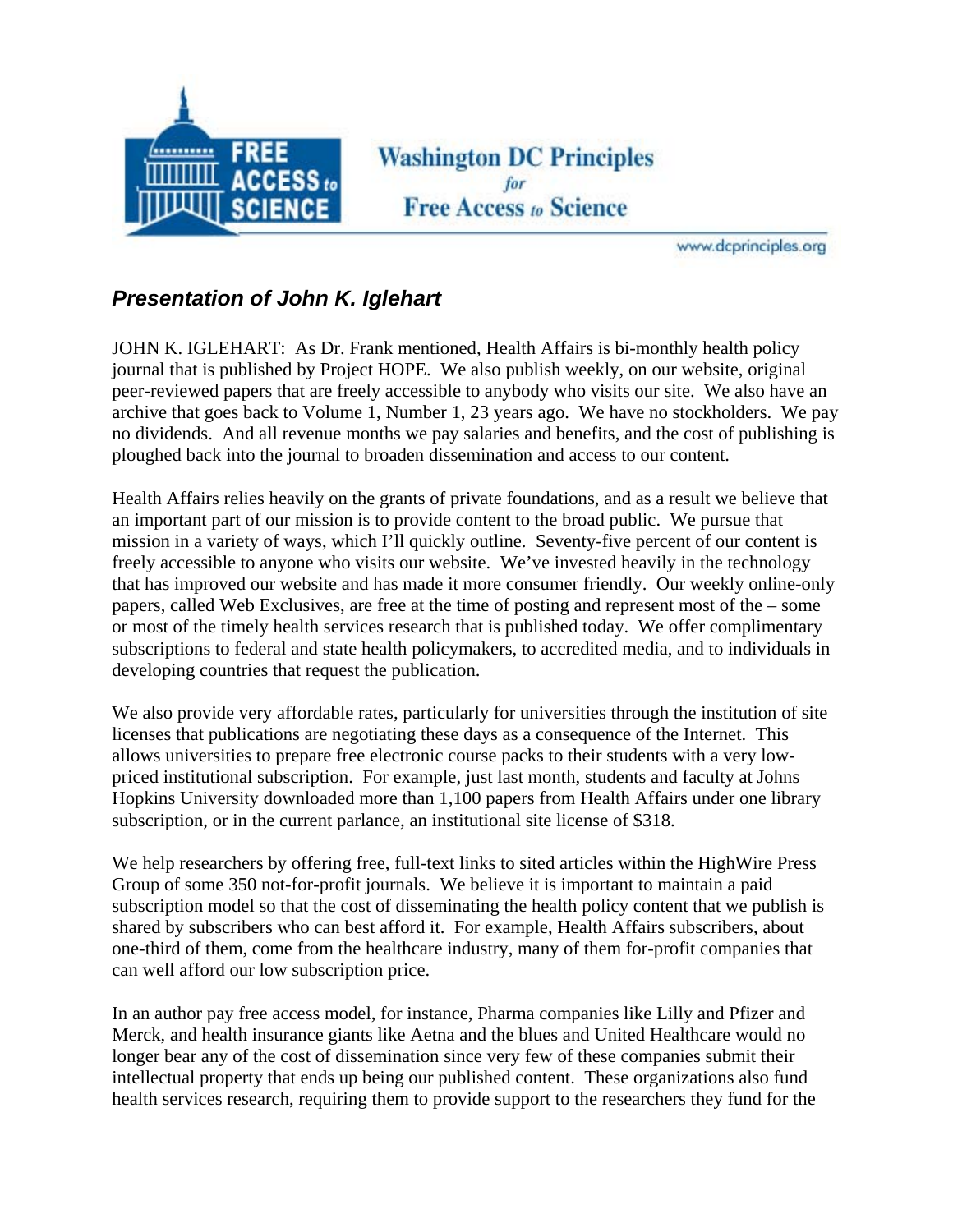

**Washington DC Principles** for **Free Access to Science** 

www.dcprinciples.org

## *Presentation of John K. Iglehart*

JOHN K. IGLEHART: As Dr. Frank mentioned, Health Affairs is bi-monthly health policy journal that is published by Project HOPE. We also publish weekly, on our website, original peer-reviewed papers that are freely accessible to anybody who visits our site. We also have an archive that goes back to Volume 1, Number 1, 23 years ago. We have no stockholders. We pay no dividends. And all revenue months we pay salaries and benefits, and the cost of publishing is ploughed back into the journal to broaden dissemination and access to our content.

Health Affairs relies heavily on the grants of private foundations, and as a result we believe that an important part of our mission is to provide content to the broad public. We pursue that mission in a variety of ways, which I'll quickly outline. Seventy-five percent of our content is freely accessible to anyone who visits our website. We've invested heavily in the technology that has improved our website and has made it more consumer friendly. Our weekly online-only papers, called Web Exclusives, are free at the time of posting and represent most of the – some or most of the timely health services research that is published today. We offer complimentary subscriptions to federal and state health policymakers, to accredited media, and to individuals in developing countries that request the publication.

We also provide very affordable rates, particularly for universities through the institution of site licenses that publications are negotiating these days as a consequence of the Internet. This allows universities to prepare free electronic course packs to their students with a very lowpriced institutional subscription. For example, just last month, students and faculty at Johns Hopkins University downloaded more than 1,100 papers from Health Affairs under one library subscription, or in the current parlance, an institutional site license of \$318.

We help researchers by offering free, full-text links to sited articles within the HighWire Press Group of some 350 not-for-profit journals. We believe it is important to maintain a paid subscription model so that the cost of disseminating the health policy content that we publish is shared by subscribers who can best afford it. For example, Health Affairs subscribers, about one-third of them, come from the healthcare industry, many of them for-profit companies that can well afford our low subscription price.

In an author pay free access model, for instance, Pharma companies like Lilly and Pfizer and Merck, and health insurance giants like Aetna and the blues and United Healthcare would no longer bear any of the cost of dissemination since very few of these companies submit their intellectual property that ends up being our published content. These organizations also fund health services research, requiring them to provide support to the researchers they fund for the